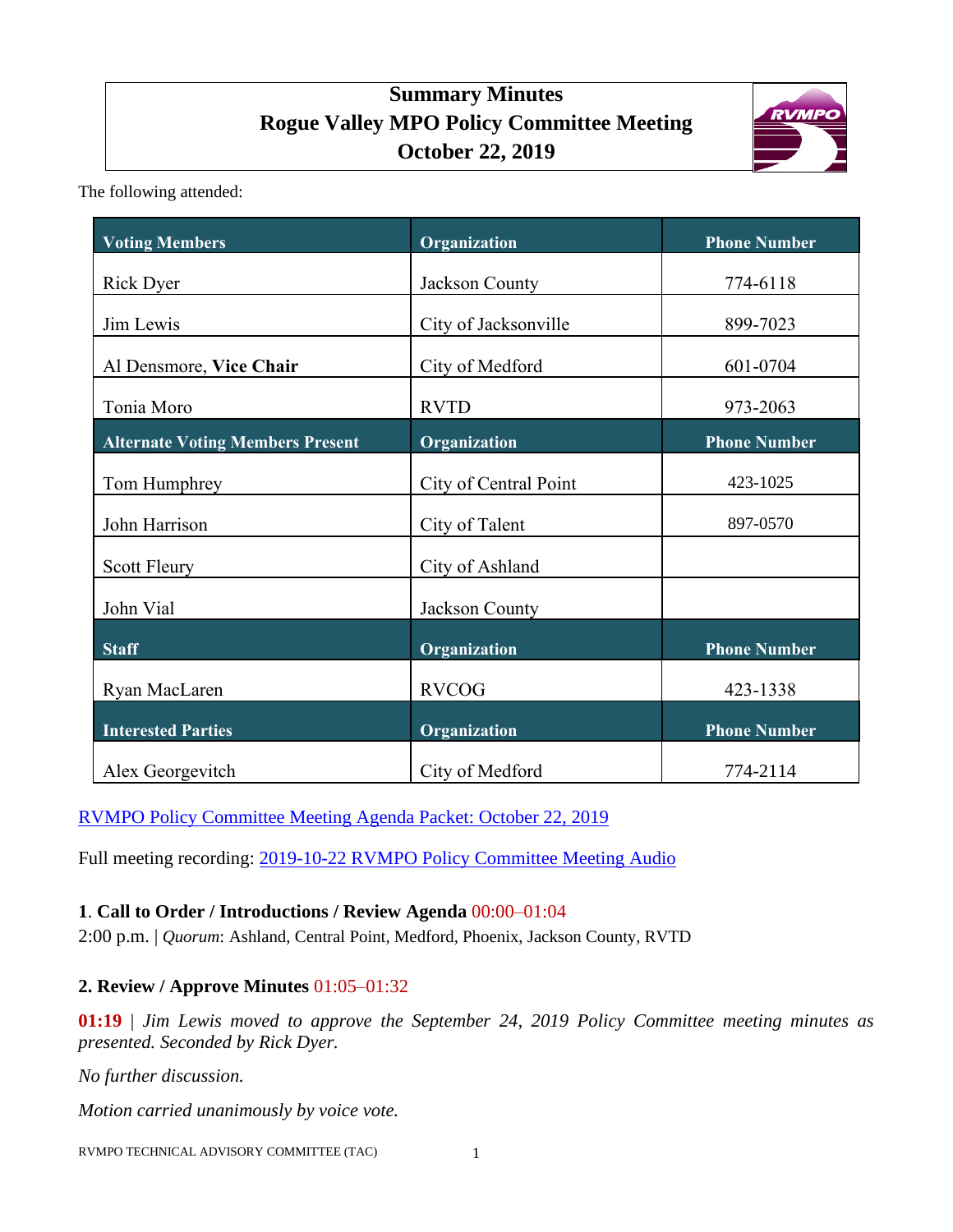# **Summary Minutes Rogue Valley MPO Policy Committee Meeting October 22, 2019**



The following attended:

| <b>Voting Members</b>                                 | Organization          | <b>Phone Number</b>             |
|-------------------------------------------------------|-----------------------|---------------------------------|
| <b>Rick Dyer</b>                                      | Jackson County        | 774-6118                        |
| Jim Lewis                                             | City of Jacksonville  | 899-7023                        |
| Al Densmore, Vice Chair                               | City of Medford       | 601-0704                        |
|                                                       | <b>RVTD</b>           |                                 |
| Tonia Moro<br><b>Alternate Voting Members Present</b> | Organization          | 973-2063<br><b>Phone Number</b> |
|                                                       |                       |                                 |
| Tom Humphrey                                          | City of Central Point | 423-1025                        |
| John Harrison                                         | City of Talent        | 897-0570                        |
| Scott Fleury                                          | City of Ashland       |                                 |
| John Vial                                             | Jackson County        |                                 |
| <b>Staff</b>                                          | Organization          | <b>Phone Number</b>             |
| Ryan MacLaren                                         | <b>RVCOG</b>          | 423-1338                        |
| <b>Interested Parties</b>                             | Organization          | <b>Phone Number</b>             |
| Alex Georgevitch                                      | City of Medford       | 774-2114                        |

[RVMPO Policy Committee](http://dvel.rvmpo.org/wp-content/uploads/2019/09/2019-10-22_RVMPO-PolComm-Agenda_LinkedAttachmentsOnly.pdf) Meeting Agenda Packet: October 22, 2019

Full meeting recording: 2019-10-22 [RVMPO Policy Committee Meeting Audio](http://dvel.rvmpo.org/wp-content/uploads/2019/09/20191022_RVMPO-PolComm_AudacityFinal.mp3)

## **1**. **Call to Order / Introductions / Review Agenda** 00:00–01:04

2:00 p.m. | *Quorum*: Ashland, Central Point, Medford, Phoenix, Jackson County, RVTD

## **2. Review / Approve Minutes** 01:05–01:32

**01:19** | *Jim Lewis moved to approve the September 24, 2019 Policy Committee meeting minutes as presented. Seconded by Rick Dyer.*

*No further discussion.* 

*Motion carried unanimously by voice vote.*